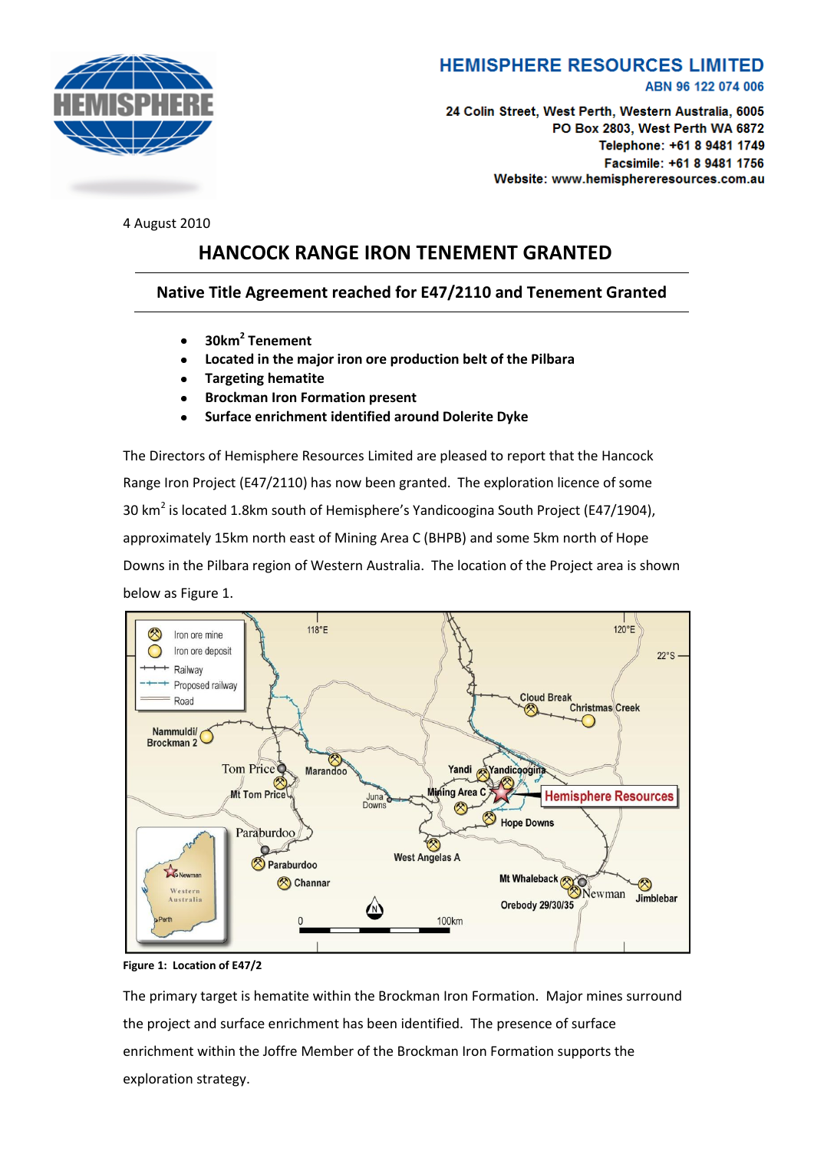

## **HEMISPHERE RESOURCES LIMITED**

ABN 96 122 074 006

24 Colin Street, West Perth, Western Australia, 6005 PO Box 2803, West Perth WA 6872 Telephone: +61 8 9481 1749 Facsimile: +61 8 9481 1756 Website: www.hemisphereresources.com.au

4 August 2010

## **HANCOCK RANGE IRON TENEMENT GRANTED**

## **Native Title Agreement reached for E47/2110 and Tenement Granted**

- **30km<sup>2</sup> Tenement**
- **Located in the major iron ore production belt of the Pilbara**
- **Targeting hematite**
- **Brockman Iron Formation present**
- **Surface enrichment identified around Dolerite Dyke**

The Directors of Hemisphere Resources Limited are pleased to report that the Hancock Range Iron Project (E47/2110) has now been granted. The exploration licence of some 30 km<sup>2</sup> is located 1.8km south of Hemisphere's Yandicoogina South Project (E47/1904), approximately 15km north east of Mining Area C (BHPB) and some 5km north of Hope Downs in the Pilbara region of Western Australia. The location of the Project area is shown below as Figure 1.



**Figure 1: Location of E47/2**

The primary target is hematite within the Brockman Iron Formation. Major mines surround the project and surface enrichment has been identified. The presence of surface enrichment within the Joffre Member of the Brockman Iron Formation supports the exploration strategy.